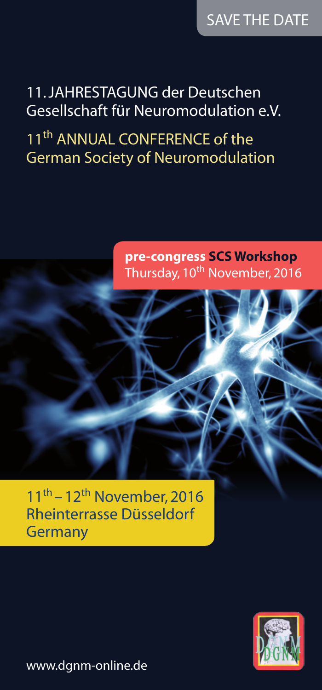11. Jahrestagung der Deutschen Gesellschaft für Neuromodulation e.V.

11<sup>th</sup> ANNUAL CONFERENCE of the German Society of Neuromodulation

# **pre-congress SCS Workshop**  Thursday, 10<sup>th</sup> November, 2016

 $11<sup>th</sup> - 12<sup>th</sup>$  November, 2016 Rheinterrasse Düsseldorf **Germany** 



www.dgnm-online.de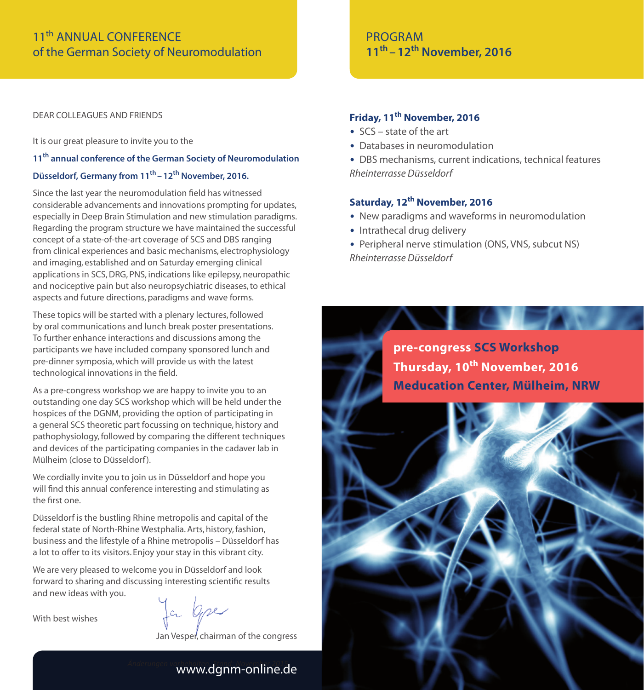## 11th Annual Conference of the German Society of Neuromodulation

Dear colleagues and friends

It is our great pleasure to invite you to the

### **11th annual conference of the German Society of Neuromodulation**

### **Düsseldorf, Germany from 11th –12th November, 2016.**

Since the last year the neuromodulation field has witnessed considerable advancements and innovations prompting for updates, especially in Deep Brain Stimulation and new stimulation paradigms. Regarding the program structure we have maintained the successful concept of a state-of-the-art coverage of SCS and DBS ranging from clinical experiences and basic mechanisms, electrophysiology and imaging, established and on Saturday emerging clinical applications in SCS, DRG, PNS, indications like epilepsy, neuropathic and nociceptive pain but also neuropsychiatric diseases, to ethical aspects and future directions, paradigms and wave forms.

These topics will be started with a plenary lectures, followed by oral communications and lunch break poster presentations. To further enhance interactions and discussions among the participants we have included company sponsored lunch and pre-dinner symposia, which will provide us with the latest technological innovations in the field.

As a pre-congress workshop we are happy to invite you to an outstanding one day SCS workshop which will be held under the hospices of the DGNM, providing the option of participating in a general SCS theoretic part focussing on technique, history and pathophysiology, followed by comparing the different techniques and devices of the participating companies in the cadaver lab in Mülheim (close to Düsseldorf).

We cordially invite you to join us in Düsseldorf and hope you will find this annual conference interesting and stimulating as the first one.

Düsseldorf is the bustling Rhine metropolis and capital of the federal state of North-Rhine Westphalia. Arts, history, fashion, business and the lifestyle of a Rhine metropolis – Düsseldorf has a lot to offer to its visitors. Enjoy your stay in this vibrant city.

We are very pleased to welcome you in Düsseldorf and look forward to sharing and discussing interesting scientific results and new ideas with you.

With best wishes

Ja bpe

Jan Vesper, chairman of the congress

# *Änderungen vorbehalten. Stand: November 2015* www.dgnm-online.de

### **PROGRAM 11th –12th November, 2016**

### **Friday, 11th November, 2016**

- SCS state of the art
- Databases in neuromodulation
- DBS mechanisms, current indications, technical features *Rheinterrasse Düsseldorf*

### **Saturday, 12th November, 2016**

- New paradigms and waveforms in neuromodulation
- Intrathecal drug delivery
- Peripheral nerve stimulation (ONS, VNS, subcut NS) *Rheinterrasse Düsseldorf*

**pre-congress SCS Workshop Thursday, 10th November, 2016 Meducation Center, Mülheim, NRW**